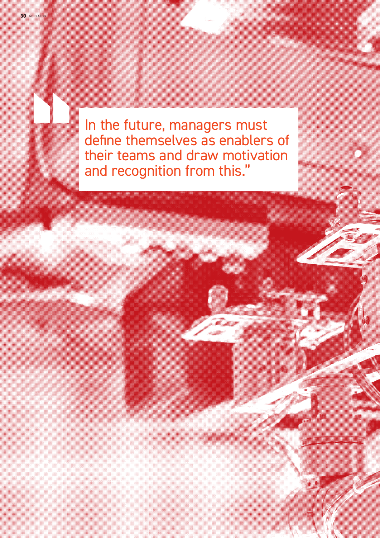In the future, managers must define themselves as enablers of their teams and draw motivation and recognition from this."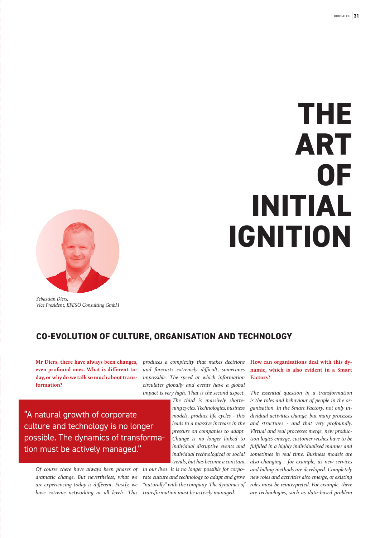# **THE ART OF INITIAL IGNITION**



*Sebastian Diers, Vice President, EFESO Consulting GmbH*

# **CO-EVOLUTION OF CULTURE, ORGANISATION AND TECHNOLOGY**

**Mr Diers, there have always been changes, even profound ones. What is different today, or why do we talk so much about transformation?**

*produces a complexity that makes decisions and forecasts extremely difficult, sometimes impossible. The speed at which information circulates globally and events have a global impact is very high. That is the second aspect.* 

> *The third is massively shortening cycles. Technologies, business models, product life cycles - this leads to a massive increase in the pressure on companies to adapt. Change is no longer linked to individual disruptive events and individual technological or social trends, but has become a constant*

*in our lives. It is no longer possible for corporate culture and technology to adapt and grow "naturally" with the company. The dynamics of transformation must be actively managed.*

## **How can organisations deal with this dynamic, which is also evident in a Smart Factory?**

*The essential question in a transformation is the roles and behaviour of people in the organisation. In the Smart Factory, not only individual activities change, but many processes and structures - and that very profoundly. Virtual and real processes merge, new production logics emerge, customer wishes have to be fulfilled in a highly individualised manner and sometimes in real time. Business models are also changing - for example, as new services and billing methods are developed. Completely new roles and activities also emerge, or existing roles must be reinterpreted. For example, there are technologies, such as data-based problem* 

"A natural growth of corporate culture and technology is no longer possible. The dynamics of transformation must be actively managed."

*Of course there have always been phases of dramatic change. But nevertheless, what we are experiencing today is different. Firstly, we have extreme networking at all levels. This*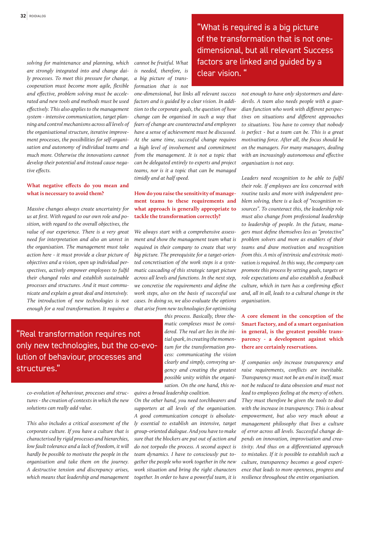*solving for maintenance and planning, which are strongly integrated into and change daily processes. To meet this pressure for change, cooperation must become more agile, flexible and effective, problem solving must be accelerated and new tools and methods must be used effectively. This also applies to the management system - intensive communication, target planning and control mechanisms across all levels of the organisational structure, iterative improvement processes, the possibilities for self-organisation and autonomy of individual teams and much more. Otherwise the innovations cannot develop their potential and instead cause negative effects.*

#### **What negative effects do you mean and what is necessary to avoid them?**

*Massive changes always create uncertainty for us at first. With regard to our own role and position, with regard to the overall objectives, the value of our experience. There is a very great need for interpretation and also an unrest in the organisation. The management must take action here - it must provide a clear picture of objectives and a vision, open up individual perspectives, actively empower employees to fulfil their changed roles and establish sustainable processes and structures. And it must communicate and explain a great deal and intensively. The introduction of new technologies is not enough for a real transformation. It requires a* 

"Real transformation requires not only new technologies, but the co-evolution of behaviour, processes and structures."

*co-evolution of behaviour, processes and structures - the creation of contexts in which the new solutions can really add value.* 

*This also includes a critical assessment of the corporate culture. If you have a culture that is characterised by rigid processes and hierarchies, low fault tolerance and a lack of freedom, it will hardly be possible to motivate the people in the organisation and take them on the journey. A destructive tension and discrepancy arises, which means that leadership and management* 

*cannot be fruitful. What is needed, therefore, is a big picture of transformation that is not* 

*one-dimensional, but links all relevant success factors and is guided by a clear vision. In addition to the corporate goals, the question of how change can be organised in such a way that fears of change are counteracted and employees have a sense of achievement must be discussed. At the same time, successful change requires a high level of involvement and commitment from the management. It is not a topic that can be delegated entirely to experts and project teams, nor is it a topic that can be managed timidly and at half speed.*

### **How do you raise the sensitivity of management teams to these requirements and what approach is generally appropriate to tackle the transformation correctly?**

*We always start with a comprehensive assessment and show the management team what is required in their company to create that very big picture. The prerequisite for a target-oriented concretisation of the work steps is a systematic cascading of this strategic target picture across all levels and functions. In the next step, we concretise the requirements and define the work steps, also on the basis of successful use cases. In doing so, we also evaluate the options that arise from new technologies for optimising* 

> *this process. Basically, three thematic complexes must be considered. The real art lies in the initial spark, in creating the momentum for the transformation process: communicating the vision clearly and simply, conveying urgency and creating the greatest possible unity within the organisation. On the one hand, this re-*

*quires a broad leadership coalition. On the other hand, you need torchbearers and supporters at all levels of the organisation. A good communication concept is absolutely essential to establish an intensive, target group-oriented dialogue. And you have to make sure that the blockers are put out of action and do not torpedo the process. A second aspect is team dynamics. I have to consciously put together the people who work together in the new work situation and bring the right characters together. In order to have a powerful team, it is* 

"What is required is a big picture of the transformation that is not onedimensional, but all relevant Success factors are linked and guided by a clear vision. "

> *not enough to have only skystormers and daredevils. A team also needs people with a guardian function who work with different perspectives on situations and different approaches to situations. You have to convey that nobody is perfect - but a team can be. This is a great motivating force. After all, the focus should be on the managers. For many managers, dealing with an increasingly autonomous and effective organisation is not easy.*

> *Leaders need recognition to be able to fulfil their role. If employees are less concerned with routine tasks and more with independent problem solving, there is a lack of "recognition resources". To counteract this, the leadership role must also change from professional leadership to leadership of people. In the future, managers must define themselves less as "protective" problem solvers and more as enablers of their teams and draw motivation and recognition from this. A mix of intrinsic and extrinsic motivation is required. In this way, the company can promote this process by setting goals, targets or role expectations and also establish a feedback culture, which in turn has a confirming effect and, all in all, leads to a cultural change in the organisation.*

#### **A core element in the conception of the Smart Factory, and of a smart organisation in general, is the greatest possible transparency - a development against which there are certainly reservations.**

*If companies only increase transparency and raise requirements, conflicts are inevitable. Transparency must not be an end in itself, must not be reduced to data obsession and must not lead to employees feeling at the mercy of others. They must therefore be given the tools to deal with the increase in transparency. This is about empowerment, but also very much about a management philosophy that lives a culture of error across all levels. Successful change depends on innovation, improvisation and creativity. And thus on a differentiated approach to mistakes. If it is possible to establish such a culture, transparency becomes a good experience that leads to more openness, progress and resilience throughout the entire organisation.*